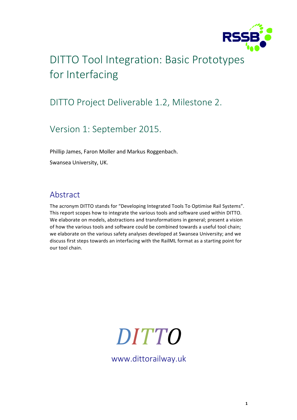

## DITTO Tool Integration: Basic Prototypes for Interfacing

### DITTO Project Deliverable 1.2, Milestone 2.

### Version 1: September 2015.

Phillip James, Faron Moller and Markus Roggenbach.

Swansea University, UK.

### Abstract

The acronym DITTO stands for "Developing Integrated Tools To Optimise Rail Systems". This report scopes how to integrate the various tools and software used within DITTO. We elaborate on models, abstractions and transformations in general; present a vision of how the various tools and software could be combined towards a useful tool chain; we elaborate on the various safety analyses developed at Swansea University; and we discuss first steps towards an interfacing with the RailML format as a starting point for our tool chain.

# *DITTO*

www.dittorailway.uk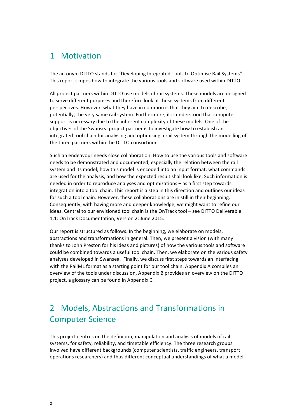### 1 Motivation

The acronym DITTO stands for "Developing Integrated Tools to Optimise Rail Systems". This report scopes how to integrate the various tools and software used within DITTO.

All project partners within DITTO use models of rail systems. These models are designed to serve different purposes and therefore look at these systems from different perspectives. However, what they have in common is that they aim to describe. potentially, the very same rail system. Furthermore, it is understood that computer support is necessary due to the inherent complexity of these models. One of the objectives of the Swansea project partner is to investigate how to establish an integrated tool chain for analysing and optimising a rail system through the modelling of the three partners within the DITTO consortium.

Such an endeavour needs close collaboration. How to use the various tools and software needs to be demonstrated and documented, especially the relation between the rail system and its model, how this model is encoded into an input format, what commands are used for the analysis, and how the expected result shall look like. Such information is needed in order to reproduce analyses and optimizations – as a first step towards integration into a tool chain. This report is a step in this direction and outlines our ideas for such a tool chain. However, these collaborations are in still in their beginning. Consequently, with having more and deeper knowledge, we might want to refine our ideas. Central to our envisioned tool chain is the OnTrack tool – see DITTO Deliverable 1.1: OnTrack Documentation, Version 2: June 2015.

Our report is structured as follows. In the beginning, we elaborate on models, abstractions and transformations in general. Then, we present a vision (with many thanks to John Preston for his ideas and pictures) of how the various tools and software could be combined towards a useful tool chain. Then, we elaborate on the various safety analyses developed in Swansea. Finally, we discuss first steps towards an interfacing with the RailML format as a starting point for our tool chain. Appendix A compiles an overview of the tools under discussion, Appendix B provides an overview on the DITTO project, a glossary can be found in Appendix C.

### 2 Models, Abstractions and Transformations in **Computer Science**

This project centres on the definition, manipulation and analysis of models of rail systems, for safety, reliability, and timetable efficiency. The three research groups involved have different backgrounds (computer scientists, traffic engineers, transport operations researchers) and thus different conceptual understandings of what a model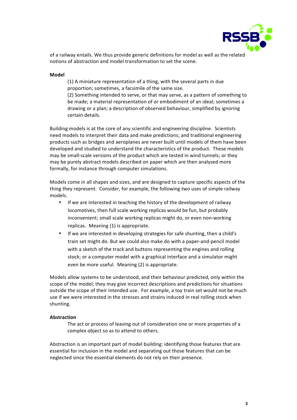

of a railway entails. We thus provide generic definitions for model as well as the related notions of abstraction and model transformation to set the scene.

#### **Model**

(1) A miniature representation of a thing, with the several parts in due proportion; sometimes, a facsimile of the same size.

(2) Something intended to serve, or that may serve, as a pattern of something to be made; a material representation of or embodiment of an ideal; sometimes a drawing or a plan; a description of observed behaviour, simplified by ignoring certain details.

Building models is at the core of any scientific and engineering discipline. Scientists need models to interpret their data and make predictions; and traditional engineering products such as bridges and aeroplanes are never built until models of them have been developed and studied to understand the characteristics of the product. These models may be small-scale versions of the product which are tested in wind tunnels; or they may be purely abstract models described on paper which are then analysed more formally, for instance through computer simulations.

Models come in all shapes and sizes, and are designed to capture specific aspects of the thing they represent. Consider, for example, the following two uses of simple railway models.

- If we are interested in teaching the history of the development of railway locomotives, then full scale working replicas would be fun, but probably inconvenient; small scale working replicas might do, or even non-working replicas. Meaning  $(1)$  is appropriate.
- If we are interested in developing strategies for safe shunting, then a child's train set might do. But we could also make do with a paper-and-pencil model with a sketch of the track and buttons representing the engines and rolling stock; or a computer model with a graphical interface and a simulator might even be more useful. Meaning (2) is appropriate.

Models allow systems to be understood, and their behaviour predicted, only within the scope of the model; they may give incorrect descriptions and predictions for situations outside the scope of their intended use. For example, a toy train set would not be much use if we were interested in the stresses and strains induced in real rolling stock when shunting.

#### **Abstraction**

The act or process of leaving out of consideration one or more properties of a complex object so as to attend to others.

Abstraction is an important part of model building: identifying those features that are essential for inclusion in the model and separating out those features that can be neglected since the essential elements do not rely on their presence.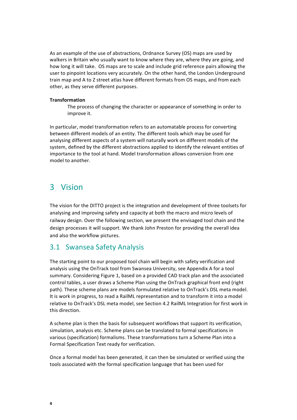As an example of the use of abstractions, Ordnance Survey (OS) maps are used by walkers in Britain who usually want to know where they are, where they are going, and how long it will take. OS maps are to scale and include grid reference pairs allowing the user to pinpoint locations very accurately. On the other hand, the London Underground train map and A to Z street atlas have different formats from OS maps, and from each other, as they serve different purposes.

#### **Transformation**

The process of changing the character or appearance of something in order to improve it.

In particular, model transformation refers to an automatable process for converting between different models of an entity. The different tools which may be used for analysing different aspects of a system will naturally work on different models of the system, defined by the different abstractions applied to identify the relevant entities of importance to the tool at hand. Model transformation allows conversion from one model to another.

### 3 Vision

The vision for the DITTO project is the integration and development of three toolsets for analysing and improving safety and capacity at both the macro and micro levels of railway design. Over the following section, we present the envisaged tool chain and the design processes it will support. We thank John Preston for providing the overall idea and also the workflow pictures.

### 3.1 Swansea Safety Analysis

The starting point to our proposed tool chain will begin with safety verification and analysis using the OnTrack tool from Swansea University, see Appendix A for a tool summary. Considering Figure 1, based on a provided CAD track plan and the associated control tables, a user draws a Scheme Plan using the OnTrack graphical front end (right path). These scheme plans are models formulated relative to OnTrack's DSL meta model. It is work in progress, to read a RailML representation and to transform it into a model relative to OnTrack's DSL meta model, see Section 4.2 RailML Integration for first work in this direction.

A scheme plan is then the basis for subsequent workflows that support its verification, simulation, analysis etc. Scheme plans can be translated to formal specifications in various (specification) formalisms. These transformations turn a Scheme Plan into a Formal Specification Text ready for verification.

Once a formal model has been generated, it can then be simulated or verified using the tools associated with the formal specification language that has been used for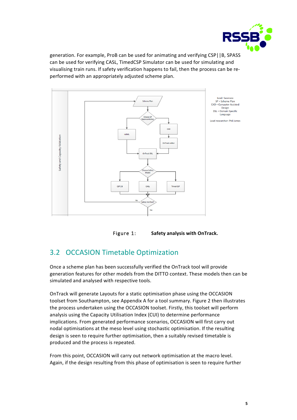

generation. For example, ProB can be used for animating and verifying CSP||B, SPASS can be used for verifying CASL, TimedCSP Simulator can be used for simulating and visualising train runs. If safety verification happens to fail, then the process can be reperformed with an appropriately adjusted scheme plan.



Figure 1: Safety analysis with OnTrack.

### 3.2 OCCASION Timetable Optimization

Once a scheme plan has been successfully verified the OnTrack tool will provide generation features for other models from the DITTO context. These models then can be simulated and analysed with respective tools.

OnTrack will generate Layouts for a static optimisation phase using the OCCASION toolset from Southampton, see Appendix A for a tool summary. Figure 2 then illustrates the process undertaken using the OCCASION toolset. Firstly, this toolset will perform analysis using the Capacity Utilisation Index (CUI) to determine performance implications. From generated performance scenarios, OCCASION will first carry out nodal optimisations at the meso level using stochastic optimisation. If the resulting design is seen to require further optimisation, then a suitably revised timetable is produced and the process is repeated.

From this point, OCCASION will carry out network optimisation at the macro level. Again, if the design resulting from this phase of optimisation is seen to require further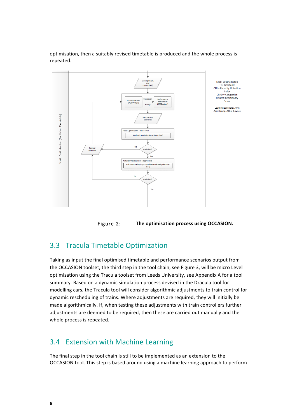optimisation, then a suitably revised timetable is produced and the whole process is repeated.





### **3.3 Tracula Timetable Optimization**

Taking as input the final optimised timetable and performance scenarios output from the OCCASION toolset, the third step in the tool chain, see Figure 3, will be micro Level optimisation using the Tracula toolset from Leeds University, see Appendix A for a tool summary. Based on a dynamic simulation process devised in the Dracula tool for modelling cars, the Tracula tool will consider algorithmic adjustments to train control for dynamic rescheduling of trains. Where adjustments are required, they will initially be made algorithmically. If, when testing these adjustments with train controllers further adjustments are deemed to be required, then these are carried out manually and the whole process is repeated.

### 3.4 Extension with Machine Learning

The final step in the tool chain is still to be implemented as an extension to the OCCASION tool. This step is based around using a machine learning approach to perform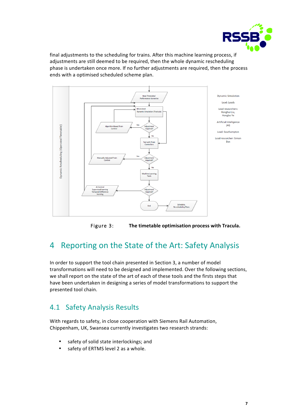

final adjustments to the scheduling for trains. After this machine learning process, if adjustments are still deemed to be required, then the whole dynamic rescheduling phase is undertaken once more. If no further adjustments are required, then the process ends with a optimised scheduled scheme plan.



Figure 3: The timetable optimisation process with Tracula.

### 4 Reporting on the State of the Art: Safety Analysis

In order to support the tool chain presented in Section 3, a number of model transformations will need to be designed and implemented. Over the following sections, we shall report on the state of the art of each of these tools and the firsts steps that have been undertaken in designing a series of model transformations to support the presented tool chain.

### 4.1 Safety Analysis Results

With regards to safety, in close cooperation with Siemens Rail Automation, Chippenham, UK, Swansea currently investigates two research strands:

- safety of solid state interlockings; and
- safety of ERTMS level 2 as a whole.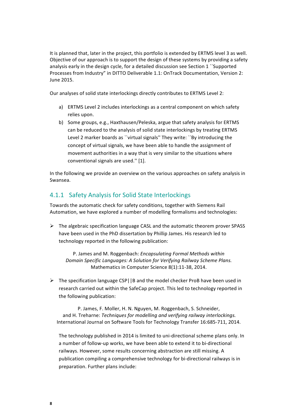It is planned that, later in the project, this portfolio is extended by ERTMS level 3 as well. Objective of our approach is to support the design of these systems by providing a safety analysis early in the design cycle, for a detailed discussion see Section 1 "Supported Processes from Industry" in DITTO Deliverable 1.1: OnTrack Documentation, Version 2: June 2015.

Our analyses of solid state interlockings directly contributes to ERTMS Level 2:

- a) ERTMS Level 2 includes interlockings as a central component on which safety relies upon.
- b) Some groups, e.g., Haxthausen/Peleska, argue that safety analysis for ERTMS can be reduced to the analysis of solid state interlockings by treating ERTMS Level 2 marker boards as ``virtual signals" They write: ``By introducing the concept of virtual signals, we have been able to handle the assignment of movement authorities in a way that is very similar to the situations where conventional signals are used." [1].

In the following we provide an overview on the various approaches on safety analysis in Swansea.

### 4.1.1 Safety Analysis for Solid State Interlockings

Towards the automatic check for safety conditions, together with Siemens Rail Automation, we have explored a number of modelling formalisms and technologies:

 $\triangleright$  The algebraic specification language CASL and the automatic theorem prover SPASS have been used in the PhD dissertation by Phillip James. His research led to technology reported in the following publication:

P. James and M. Roggenbach: *Encapsulating Formal Methods within Domain Specific Languages:* A Solution for Verifying Railway Scheme Plans. Mathematics in Computer Science 8(1):11-38, 2014.

 $\triangleright$  The specification language CSP||B and the model checker ProB have been used in research carried out within the SafeCap project. This led to technology reported in the following publication:

P. James, F. Moller, H. N. Nguyen, M. Roggenbach, S. Schneider, and H. Treharne: *Techniques for modelling and verifying railway interlockings.* International Journal on Software Tools for Technology Transfer 16:685-711, 2014.

The technology published in 2014 is limited to uni-directional scheme plans only. In a number of follow-up works, we have been able to extend it to bi-directional railways. However, some results concerning abstraction are still missing. A publication compiling a comprehensive technology for bi-directional railways is in preparation. Further plans include: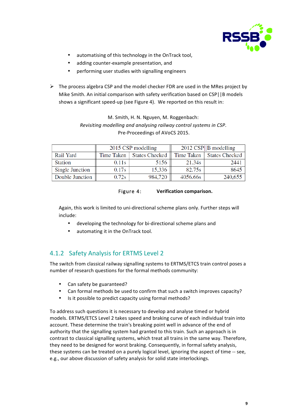

- automatising of this technology in the OnTrack tool,
- adding counter-example presentation, and
- performing user studies with signalling engineers
- $\triangleright$  The process algebra CSP and the model checker FDR are used in the MRes project by Mike Smith. An initial comparison with safety verification based on CSP||B models shows a significant speed-up (see Figure 4). We reported on this result in:

### M. Smith, H. N. Nguyen, M. Roggenbach: *Revisiting modelling and analysing railway control systems in CSP.* Pre-Proceedings of AVoCS 2015.

|                 |            | 2015 CSP modelling    | $2012 \text{ CSP}$   B modelling |                |  |  |
|-----------------|------------|-----------------------|----------------------------------|----------------|--|--|
| Rail Yard       | Time Taken | <b>States Checked</b> | Time Taken 1                     | States Checked |  |  |
| <b>Station</b>  | 0.11s      | 5156                  | 21.34s                           | 2441           |  |  |
| Single Junction | 0.17s      | 15,336                | 82.75s                           | 8645           |  |  |
| Double Junction | 0.72s      | 984,720               | 4056.66s                         | 240,655        |  |  |

### Figure 4: **Verification comparison.**

Again, this work is limited to uni-directional scheme plans only. Further steps will include:

- developing the technology for bi-directional scheme plans and
- automating it in the OnTrack tool.

### 4.1.2 Safety Analysis for ERTMS Level 2

The switch from classical railway signalling systems to ERTMS/ETCS train control poses a number of research questions for the formal methods community:

- Can safety be guaranteed?
- Can formal methods be used to confirm that such a switch improves capacity?
- Is it possible to predict capacity using formal methods?

To address such questions it is necessary to develop and analyse timed or hybrid models. ERTMS/ETCS Level 2 takes speed and braking curve of each individual train into account. These determine the train's breaking point well in advance of the end of authority that the signalling system had granted to this train. Such an approach is in contrast to classical signalling systems, which treat all trains in the same way. Therefore, they need to be designed for worst braking. Consequently, in formal safety analysis, these systems can be treated on a purely logical level, ignoring the aspect of time -- see, e.g., our above discussion of safety analysis for solid state interlockings.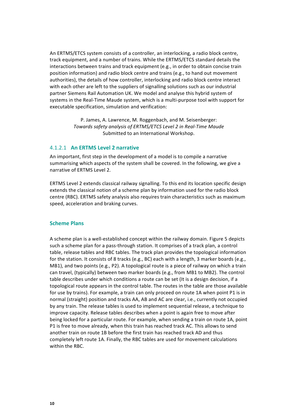An ERTMS/ETCS system consists of a controller, an interlocking, a radio block centre, track equipment, and a number of trains. While the ERTMS/ETCS standard details the interactions between trains and track equipment (e.g., in order to obtain concise train position information) and radio block centre and trains (e.g., to hand out movement authorities), the details of how controller, interlocking and radio block centre interact with each other are left to the suppliers of signalling solutions such as our industrial partner Siemens Rail Automation UK. We model and analyse this hybrid system of systems in the Real-Time Maude system, which is a multi-purpose tool with support for executable specification, simulation and verification:

> P. James, A. Lawrence, M. Roggenbach, and M. Seisenberger: Towards safety analysis of ERTMS/ETCS Level 2 in Real-Time Maude Submitted to an International Workshop.

#### 4.1.2.1 **An ERTMS Level 2 narrative**

An important, first step in the development of a model is to compile a narrative summarising which aspects of the system shall be covered. In the following, we give a narrative of ERTMS Level 2.

ERTMS Level 2 extends classical railway signalling. To this end its location specific design extends the classical notion of a scheme plan by information used for the radio block centre (RBC). ERTMS safety analysis also requires train characteristics such as maximum speed, acceleration and braking curves.

### **Scheme Plans**

A scheme plan is a well-established concept within the railway domain. Figure 5 depicts such a scheme plan for a pass-through station. It comprises of a track plan, a control table, release tables and RBC tables. The track plan provides the topological information for the station. It consists of 8 tracks (e.g., BC) each with a length, 3 marker boards (e.g., MB1), and two points (e.g., P2). A topological route is a piece of railway on which a train can travel, (typically) between two marker boards (e.g., from MB1 to MB2). The control table describes under which conditions a route can be set (It is a design decision, if a topological route appears in the control table. The routes in the table are those available for use by trains). For example, a train can only proceed on route 1A when point P1 is in normal (straight) position and tracks AA, AB and AC are clear, i.e., currently not occupied by any train. The release tables is used to implement sequential release, a technique to improve capacity. Release tables describes when a point is again free to move after being locked for a particular route. For example, when sending a train on route 1A, point P1 is free to move already, when this train has reached track AC. This allows to send another train on route 1B before the first train has reached track AD and thus completely left route 1A. Finally, the RBC tables are used for movement calculations within the RBC.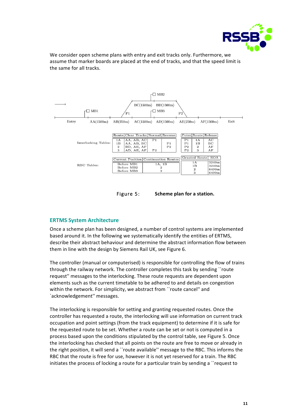

We consider open scheme plans with entry and exit tracks only. Furthermore, we assume that marker boards are placed at the end of tracks, and that the speed limit is the same for all tracks.



Figure 5: Scheme plan for a station.

### **ERTMS System Architecture**

Once a scheme plan has been designed, a number of control systems are implemented based around it. In the following we systematically identify the entities of ERTMS, describe their abstract behaviour and determine the abstract information flow between them in line with the design by Siemens Rail UK, see Figure 6.

The controller (manual or computerised) is responsible for controlling the flow of trains through the railway network. The controller completes this task by sending ``route request" messages to the interlocking. These route requests are dependent upon elements such as the current timetable to be adhered to and details on congestion within the network. For simplicity, we abstract from "route cancel" and `acknowledgement" messages.

The interlocking is responsible for setting and granting requested routes. Once the controller has requested a route, the interlocking will use information on current track occupation and point settings (from the track equipment) to determine if it is safe for the requested route to be set. Whether a route can be set or not is computed in a process based upon the conditions stipulated by the control table, see Figure 5. Once the interlocking has checked that all points on the route are free to move or already in the right position, it will send a "route available" message to the RBC. This informs the RBC that the route is free for use, however it is not yet reserved for a train. The RBC initiates the process of locking a route for a particular train by sending a ``request to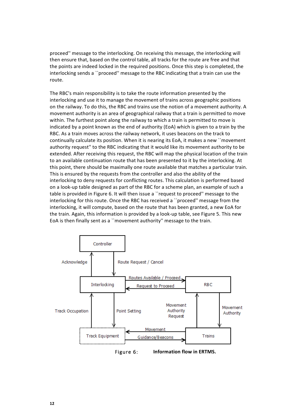proceed" message to the interlocking. On receiving this message, the interlocking will then ensure that, based on the control table, all tracks for the route are free and that the points are indeed locked in the required positions. Once this step is completed, the interlocking sends a ``proceed" message to the RBC indicating that a train can use the route.

The RBC's main responsibility is to take the route information presented by the interlocking and use it to manage the movement of trains across geographic positions on the railway. To do this, the RBC and trains use the notion of a movement authority. A movement authority is an area of geographical railway that a train is permitted to move within. The furthest point along the railway to which a train is permitted to move is indicated by a point known as the end of authority (EoA) which is given to a train by the RBC. As a train moves across the railway network, it uses beacons on the track to continually calculate its position. When it is nearing its EoA, it makes a new ``movement authority request" to the RBC indicating that it would like its movement authority to be extended. After receiving this request, the RBC will map the physical location of the train to an available continuation route that has been presented to it by the interlocking. At this point, there should be maximally one route available that matches a particular train. This is ensured by the requests from the controller and also the ability of the interlocking to deny requests for conflicting routes. This calculation is performed based on a look-up table designed as part of the RBC for a scheme plan, an example of such a table is provided in Figure 6. It will then issue a ``request to proceed'' message to the interlocking for this route. Once the RBC has received a "proceed" message from the interlocking, it will compute, based on the route that has been granted, a new EoA for the train. Again, this information is provided by a look-up table, see Figure 5. This new EoA is then finally sent as a ``movement authority" message to the train.

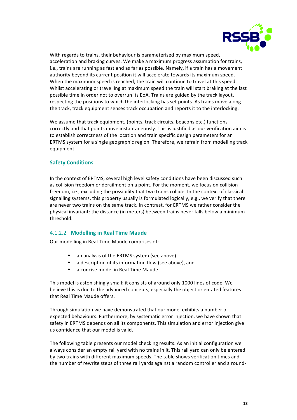

With regards to trains, their behaviour is parameterised by maximum speed, acceleration and braking curves. We make a maximum progress assumption for trains, i.e., trains are running as fast and as far as possible. Namely, if a train has a movement authority beyond its current position it will accelerate towards its maximum speed. When the maximum speed is reached, the train will continue to travel at this speed. Whilst accelerating or travelling at maximum speed the train will start braking at the last possible time in order not to overrun its EoA. Trains are guided by the track layout, respecting the positions to which the interlocking has set points. As trains move along the track, track equipment senses track occupation and reports it to the interlocking.

We assume that track equipment, (points, track circuits, beacons etc.) functions correctly and that points move instantaneously. This is justified as our verification aim is to establish correctness of the location and train specific design parameters for an ERTMS system for a single geographic region. Therefore, we refrain from modelling track equipment.

### **Safety Conditions**

In the context of ERTMS, several high level safety conditions have been discussed such as collision freedom or derailment on a point. For the moment, we focus on collision freedom, i.e., excluding the possibility that two trains collide. In the context of classical signalling systems, this property usually is formulated logically, e.g., we verify that there are never two trains on the same track. In contrast, for ERTMS we rather consider the physical invariant: the distance (in meters) between trains never falls below a minimum threshold.

### 4.1.2.2 **Modelling in Real Time Maude**

Our modelling in Real-Time Maude comprises of:

- an analysis of the ERTMS system (see above)
- a description of its information flow (see above), and
- a concise model in Real Time Maude.

This model is astonishingly small: it consists of around only 1000 lines of code. We believe this is due to the advanced concepts, especially the object orientated features that Real Time Maude offers.

Through simulation we have demonstrated that our model exhibits a number of expected behaviours. Furthermore, by systematic error injection, we have shown that safety in ERTMS depends on all its components. This simulation and error injection give us confidence that our model is valid.

The following table presents our model checking results. As an initial configuration we always consider an empty rail yard with no trains in it. This rail yard can only be entered by two trains with different maximum speeds. The table shows verification times and the number of rewrite steps of three rail yards against a random controller and a round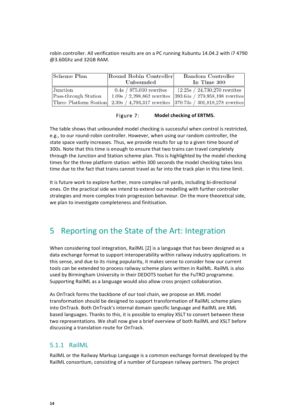robin controller. All verification results are on a PC running Xubuntu 14.04.2 with i7 4790 @3.60Ghz and 32GB RAM.

| Scheme Plan          | Round Robin Controller    | Random Controller                                                                |  |  |  |
|----------------------|---------------------------|----------------------------------------------------------------------------------|--|--|--|
|                      | Unbounded                 | In Time 300                                                                      |  |  |  |
| Junction             | $0.4s / 975,010$ rewrites | 12.25s / 24,730,270 rewrites                                                     |  |  |  |
| Pass-through Station |                           | $1.09s / 2,298,862$ rewrites 393.64s / 279,958,198 rewrites                      |  |  |  |
|                      |                           | Three Platform Station 2.39s / 4,793,317 rewrites 370.73s / 301,818,278 rewrites |  |  |  |

| Figure 7: | <b>Model checking of ERTMS.</b> |
|-----------|---------------------------------|
|-----------|---------------------------------|

The table shows that unbounded model checking is successful when control is restricted, e.g., to our round-robin controller. However, when using our random controller, the state space vastly increases. Thus, we provide results for up to a given time bound of 300s. Note that this time is enough to ensure that two trains can travel completely through the Junction and Station scheme plan. This is highlighted by the model checking times for the three platform station: within 300 seconds the model checking takes less time due to the fact that trains cannot travel as far into the track plan in this time limit.

It is future work to explore further, more complex rail yards, including bi-directional ones. On the practical side we intend to extend our modelling with further controller strategies and more complex train progression behaviour. On the more theoretical side, we plan to investigate completeness and finitisation.

### 5 Reporting on the State of the Art: Integration

When considering tool integration, RailML [2] is a language that has been designed as a data exchange format to support interoperability within railway industry applications. In this sense, and due to its rising popularity, it makes sense to consider how our current tools can be extended to process railway scheme plans written in RailML. RailML is also used by Birmingham University in their DEDOTS toolset for the FuTRO programme. Supporting RailML as a language would also allow cross project collaboration.

As OnTrack forms the backbone of our tool chain, we propose an XML model transformation should be designed to support transformation of RailML scheme plans into OnTrack. Both OnTrack's internal domain specific language and RailML are XML based languages. Thanks to this, it is possible to employ XSLT to convert between these two representations. We shall now give a brief overview of both RailML and XSLT before discussing a translation route for OnTrack.

### 5.1.1 RailML

RailML or the Railway Markup Language is a common exchange format developed by the RailML consortium, consisting of a number of European railway partners. The project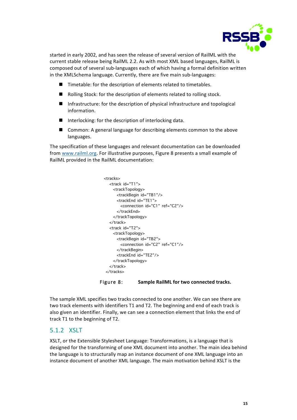

started in early 2002, and has seen the release of several version of RailML with the current stable release being RailML 2.2. As with most XML based languages, RailML is composed out of several sub-languages each of which having a formal definition written in the XMLSchema language. Currently, there are five main sub-languages:

- $\blacksquare$  Timetable: for the description of elements related to timetables.
- $\blacksquare$  Rolling Stock: for the description of elements related to rolling stock.
- $\blacksquare$  Infrastructure: for the description of physical infrastructure and topological information.
- $\blacksquare$  Interlocking: for the description of interlocking data.
- Common: A general language for describing elements common to the above languages.

The specification of these languages and relevant documentation can be downloaded from www.railml.org. For illustrative purposes, Figure 8 presents a small example of RailML provided in the RailML documentation:

```
<tracks>
   <track id="T1">
     <trackTopology>
       <trackBegin id="TB1"/>
       <trackEnd id="TE1">
         <connection id="C1" ref="C2"/>
       </trackEnd>
     </trackTopology>
   </track>
   <track id="T2">
     <trackTopology>
       <trackBegin id="TB2">
         <connection id="C2" ref="C1"/>
       </trackBegin>
       <trackEnd id="TE2"/>
     </trackTopology>
   </track>
</tracks>
```
Figure 8: Sample RailML for two connected tracks.

The sample XML specifies two tracks connected to one another. We can see there are two track elements with identifiers T1 and T2. The beginning and end of each track is also given an identifier. Finally, we can see a connection element that links the end of track T1 to the beginning of T2.

### 5.1.2 XSLT

XSLT, or the Extensible Stylesheet Language: Transformations, is a language that is designed for the transforming of one XML document into another. The main idea behind the language is to structurally map an instance document of one XML language into an instance document of another XML language. The main motivation behind XSLT is the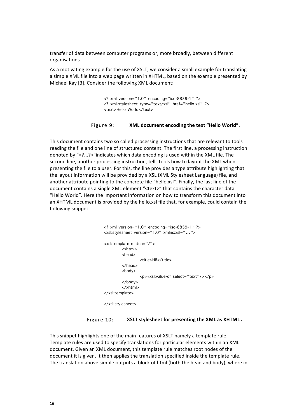transfer of data between computer programs or, more broadly, between different organisations.

As a motivating example for the use of XSLT, we consider a small example for translating a simple XML file into a web page written in XHTML, based on the example presented by Michael Kay [3]. Consider the following XML document:

> <? xml version="1.0" encoding="iso-8859-1" ?> <? xml-stylesheet type="text/xsl" href="hello.xsl" ?> <text>Hello World</text>

#### Figure 9: **XML** document encoding the text "Hello World".

This document contains two so called processing instructions that are relevant to tools reading the file and one line of structured content. The first line, a processing instruction denoted by "<?...?>"indicates which data encoding is used within the XML file. The second line, another processing instruction, tells tools how to layout the XML when presenting the file to a user. For this, the line provides a type attribute highlighting that the layout information will be provided by a XSL (XML Stylesheet Language) file, and another attribute pointing to the concrete file "hello.xsl". Finally, the last line of the document contains a single XML element "<text>" that contains the character data "Hello World". Here the important information on how to transform this document into an XHTML document is provided by the hello.xsl file that, for example, could contain the following snippet:

```
<? xml version="1.0" encoding="iso-8859-1" ?>
<xsl:stylesheet version="1.0" xmlns:xsl="…">
<xsl:template match="/">
        <xhtml>
         <head>
                  <title>Hi!</title>
        </head>
        <body>
                 <p><xsl:value-of select="text"/></p>
        </body>
        </xhtml>
</xsl:template>
</xsl:stylesheet>
```
#### Figure 10: **XSLT** stylesheet for presenting the XML as XHTML.

This snippet highlights one of the main features of XSLT namely a template rule. Template rules are used to specify translations for particular elements within an XML document. Given an XML document, this template rule matches root nodes of the document it is given. It then applies the translation specified inside the template rule. The translation above simple outputs a block of html (both the head and body), where in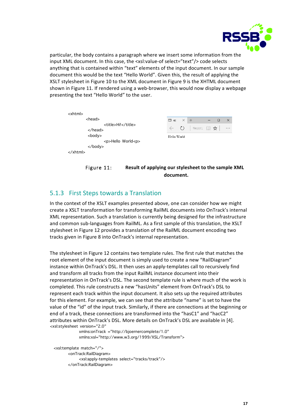

particular, the body contains a paragraph where we insert some information from the input XML document. In this case, the <xsl:value-of select="text"/> code selects anything that is contained within "text" elements of the input document. In our sample document this would be the text "Hello World". Given this, the result of applying the XSLT stylesheet in Figure 10 to the XML document in Figure 9 is the XHTML document shown in Figure 11. If rendered using a web-browser, this would now display a webpage presenting the text "Hello World" to the user.

| $\langle$ xhtml $\rangle$                       |                |       |                                      |     |        |          |
|-------------------------------------------------|----------------|-------|--------------------------------------|-----|--------|----------|
| $<$ head $>$                                    | ⊟ Hi!          | $X^*$ | $+$                                  | $-$ | $\Box$ | $\times$ |
| <title>Hi!</title><br>$\langle$ /head $\rangle$ | $\leftarrow$ 0 |       | file:///C; $\Box$ $\mathbf{\hat{x}}$ |     |        | $\cdots$ |
| <body><br/><p>Hello World<p></p></p></body>     | Hello World    |       |                                      |     |        |          |
| $\langle$ body>                                 |                |       |                                      |     |        |          |
| $\langle$ /xhtml $\rangle$                      |                |       |                                      |     |        |          |

### Figure 11: **Result of applying our stylesheet to the sample XML document.**

### 5.1.3 First Steps towards a Translation

In the context of the XSLT examples presented above, one can consider how we might create a XSLT transformation for transforming RailML documents into OnTrack's internal XML representation. Such a translation is currently being designed for the infrastructure and common sub-languages from RailML. As a first sample of this translation, the XSLT stylesheet in Figure 12 provides a translation of the RailML document encoding two tracks given in Figure 8 into OnTrack's internal representation.

The stylesheet in Figure 12 contains two template rules. The first rule that matches the root element of the input document is simply used to create a new "RailDiagram" instance within OnTrack's DSL. It then uses an apply-templates call to recursively find and transform all tracks from the input RailML instance document into their representation in OnTrack's DSL. The second template rule is where much of the work is completed. This rule constructs a new "hasUnits" element from OnTrack's DSL to represent each track within the input document. It also sets up the required attributes for this element. For example, we can see that the attribute "name" is set to have the value of the "id" of the input track. Similarly, if there are connections at the beginning or end of a track, these connections are transformed into the "hasC1" and "hacC2" attributes within OnTrack's DSL. More details on OnTrack's DSL are available in [4]. <xsl:stylesheet version="2.0"

 xmlns:onTrack ="http://bjoernercomplete/1.0" xmlns:xsl="http://www.w3.org/1999/XSL/Transform">

 <xsl:template match="/"> <onTrack:RailDiagram> <xsl:apply-templates select="tracks/track"/> </onTrack:RailDiagram>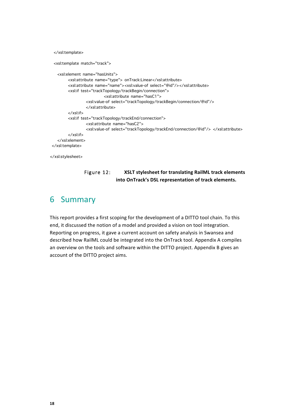```
 </xsl:template>
  <xsl:template match="track"> 
    <xsl:element name="hasUnits">
         <xsl:attribute name="type"> onTrack:Linear</xsl:attribute>
         <xsl:attribute name="name"><xsl:value-of select="@id"/></xsl:attribute> 
         <xsl:if test="trackTopology/trackBegin/connection">
                            <xsl:attribute name="hasC1"> 
                  <xsl:value-of select="trackTopology/trackBegin/connection/@id"/>
                  </xsl:attribute> 
         </xsl:if>
         <xsl:if test="trackTopology/trackEnd/connection">
                  <xsl:attribute name="hasC2"> 
                  <xsl:value-of select="trackTopology/trackEnd/connection/@id"/> </xsl:attribute> 
         </xsl:if>
    </xsl:element>
</xsl:template>
</xsl:stylesheet>
```
Figure 12: **XSLT** stylesheet for translating RailML track elements **into OnTrack's DSL representation of track elements.**

### 6 Summary

This report provides a first scoping for the development of a DITTO tool chain. To this end, it discussed the notion of a model and provided a vision on tool integration. Reporting on progress, it gave a current account on safety analysis in Swansea and described how RailML could be integrated into the OnTrack tool. Appendix A compiles an overview on the tools and software within the DITTO project. Appendix B gives an account of the DITTO project aims.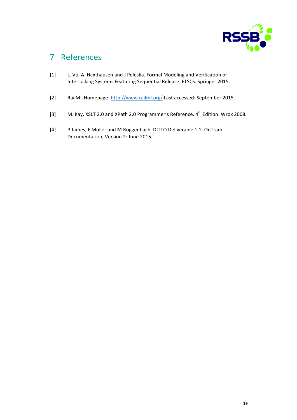

### 7 References

- [1] L. Vu, A. Haxthausen and J Peleska. Formal Modeling and Verification of Interlocking Systems Featuring Sequential Release. FTSCS. Springer 2015.
- [2] RailML Homepage: http://www.railml.org/ Last accessed: September 2015.
- [3] M. Kay. XSLT 2.0 and XPath 2.0 Programmer's Reference. 4<sup>th</sup> Edition. Wrox 2008.
- [4] P James, F Moller and M Roggenbach. DITTO Deliverable 1.1: OnTrack Documentation, Version 2: June 2015.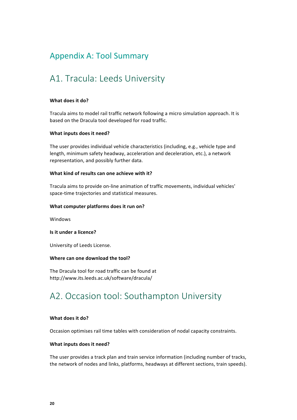### Appendix A: Tool Summary

### A1. Tracula: Leeds University

#### **What does it do?**

Tracula aims to model rail traffic network following a micro simulation approach. It is based on the Dracula tool developed for road traffic.

#### **What inputs does it need?**

The user provides individual vehicle characteristics (including, e.g., vehicle type and length, minimum safety headway, acceleration and deceleration, etc.), a network representation, and possibly further data.

#### **What kind of results can one achieve with it?**

Tracula aims to provide on-line animation of traffic movements, individual vehicles' space-time trajectories and statistical measures.

#### **What computer platforms does it run on?**

Windows

#### **Is it under a licence?**

University of Leeds License.

#### **Where can one download the tool?**

The Dracula tool for road traffic can be found at http://www.its.leeds.ac.uk/software/dracula/

### A2. Occasion tool: Southampton University

#### **What does it do?**

Occasion optimises rail time tables with consideration of nodal capacity constraints.

#### **What inputs does it need?**

The user provides a track plan and train service information (including number of tracks, the network of nodes and links, platforms, headways at different sections, train speeds).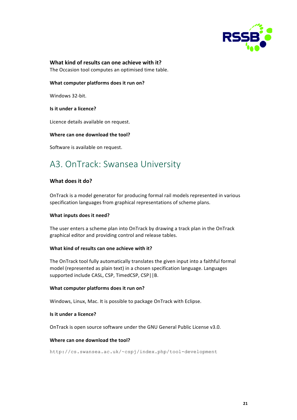

### **What kind of results can one achieve with it?**

The Occasion tool computes an optimised time table.

### **What computer platforms does it run on?**

Windows 32-bit.

### **Is it under a licence?**

Licence details available on request.

### Where can one download the tool?

Software is available on request.

### A3. OnTrack: Swansea University

### **What does it do?**

OnTrack is a model generator for producing formal rail models represented in various specification languages from graphical representations of scheme plans.

### **What inputs does it need?**

The user enters a scheme plan into OnTrack by drawing a track plan in the OnTrack graphical editor and providing control and release tables.

### **What kind of results can one achieve with it?**

The OnTrack tool fully automatically translates the given input into a faithful formal model (represented as plain text) in a chosen specification language. Languages supported include CASL, CSP, TimedCSP, CSP||B.

### **What computer platforms does it run on?**

Windows, Linux, Mac. It is possible to package OnTrack with Eclipse.

### **Is it under a licence?**

OnTrack is open source software under the GNU General Public License v3.0.

### **Where can one download the tool?**

http://cs.swansea.ac.uk/~cspj/index.php/tool-development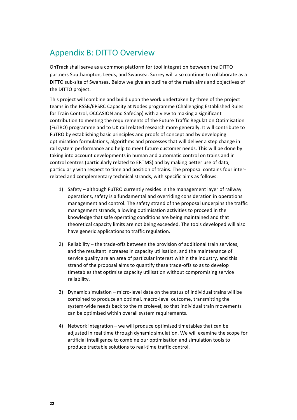### Appendix B: DITTO Overview

OnTrack shall serve as a common platform for tool integration between the DITTO partners Southampton, Leeds, and Swansea. Surrey will also continue to collaborate as a DITTO sub-site of Swansea. Below we give an outline of the main aims and objectives of the DITTO project.

This project will combine and build upon the work undertaken by three of the project teams in the RSSB/EPSRC Capacity at Nodes programme (Challenging Established Rules for Train Control, OCCASION and SafeCap) with a view to making a significant contribution to meeting the requirements of the Future Traffic Regulation Optimisation (FuTRO) programme and to UK rail related research more generally. It will contribute to FuTRO by establishing basic principles and proofs of concept and by developing optimisation formulations, algorithms and processes that will deliver a step change in rail system performance and help to meet future customer needs. This will be done by taking into account developments in human and automatic control on trains and in control centres (particularly related to ERTMS) and by making better use of data, particularly with respect to time and position of trains. The proposal contains four interrelated and complementary technical strands, with specific aims as follows:

- 1) Safety although FuTRO currently resides in the management layer of railway operations, safety is a fundamental and overriding consideration in operations management and control. The safety strand of the proposal underpins the traffic management strands, allowing optimisation activities to proceed in the knowledge that safe operating conditions are being maintained and that theoretical capacity limits are not being exceeded. The tools developed will also have generic applications to traffic regulation.
- 2) Reliability the trade-offs between the provision of additional train services, and the resultant increases in capacity utilisation, and the maintenance of service quality are an area of particular interest within the industry, and this strand of the proposal aims to quantify these trade-offs so as to develop timetables that optimise capacity utilisation without compromising service reliability.
- 3) Dynamic simulation micro-level data on the status of individual trains will be combined to produce an optimal, macro-level outcome, transmitting the system-wide needs back to the microlevel, so that individual train movements can be optimised within overall system requirements.
- 4) Network integration we will produce optimised timetables that can be adjusted in real time through dynamic simulation. We will examine the scope for artificial intelligence to combine our optimisation and simulation tools to produce tractable solutions to real-time traffic control.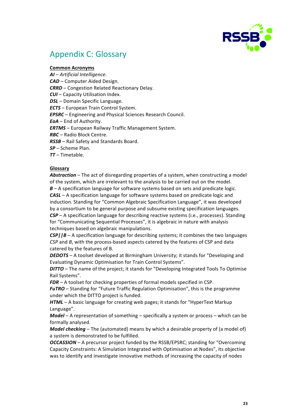

### Appendix C: Glossary

### **Common Acronyms**

*AI – Artificial Intelligence. CAD* – Computer Aided Design. **CRRD** – Congestion Related Reactionary Delay. *CUI* – Capacity Utilisation Index. *DSL* – Domain Specific Language. *ECTS* – European Train Control System. *EPSRC* – Engineering and Physical Sciences Research Council. *EoA* – End of Authority. *ERTMS* – European Railway Traffic Management System. *RBC* – Radio Block Centre. **RSSB** – Rail Safety and Standards Board. *SP* – Scheme Plan. *TT* – Timetable.

### **Glossary**

Abstraction – The act of disregarding properties of a system, when constructing a model of the system, which are irrelevant to the analysis to be carried out on the model.  $B - A$  specification language for software systems based on sets and predicate logic. **CASL** – A specification language for software systems based on predicate logic and induction. Standing for "Common Algebraic Specification Language", it was developed by a consortium to be general purpose and subsume existing specification languages. **CSP** – A specification language for describing reactive systems (i.e., processes). Standing for "Communicating Sequential Processes", it is algebraic in nature with analysis techniques based on algebraic manipulations.

**CSP||B** – A specification language for describing systems; it combines the two languages *CSP* and *B*, with the process-based aspects catered by the features of CSP and data catered by the features of B.

**DEDOTS** – A toolset developed at Birmingham University; it stands for "Developing and Evaluating Dynamic Optimisation for Train Control Systems".

**DITTO** – The name of the project; it stands for "Developing Integrated Tools To Optimise Rail Systems".

*FDR* – A toolset for checking properties of formal models specified in CSP.

**FuTRO** – Standing for "Future Traffic Regulation Optimisation", this is the programme under which the DITTO project is funded.

*HTML* – A basic language for creating web pages; it stands for "HyperText Markup" Language".

*Model* – A representation of something – specifically a system or process – which can be formally analysed.

*Model checking* – The (automated) means by which a desirable property of (a model of) a system is demonstrated to be fulfilled.

*OCCASSION* – A precursor project funded by the RSSB/EPSRC; standing for "Overcoming Capacity Constraints: A Simulation Integrated with Optimisation at Nodes", its objective was to identify and investigate innovative methods of increasing the capacity of nodes